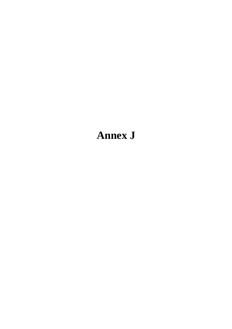# **Annex J**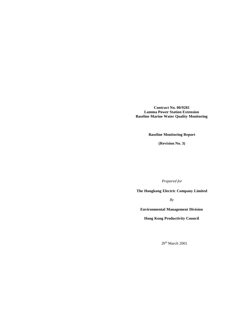**Contract No. 00/9281 Lamma Power Station Extension Baseline Marine Water Quality Monitoring**

**Baseline Monitoring Report**

**(Revision No. 3)**

*Prepared for*

**The Hongkong Electric Company Limited**

*By*

**Environmental Management Division**

**Hong Kong Productivity Council**

 $29<sup>th</sup>$  March  $2001$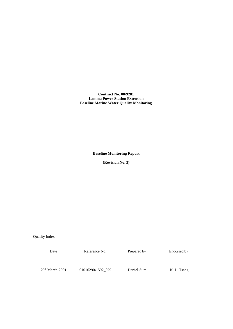**Contract No. 00/9281 Lamma Power Station Extension Baseline Marine Water Quality Monitoring**

**Baseline Monitoring Report**

**(Revision No. 3)**

Quality Index

| Date              | Reference No.     | Prepared by | Endorsed by |
|-------------------|-------------------|-------------|-------------|
| $29th$ March 2001 | 01016290\1592 029 | Daniel Sum  | K. L. Tsang |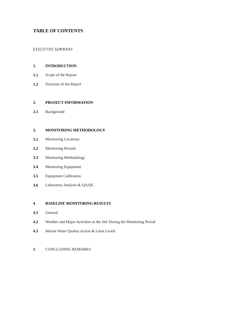# **TABLE OF CONTENTS**

# EXECUTIVE SUMMARY

#### **1. INTRODUCTION**

- **1.1**  Scope of the Report
- **1.2**  Structure of the Report

#### **2. PROJECT INFORMATION**

**2.1**  Background

#### **3. MONITORING METHODOLOGY**

- **3.1**  Monitoring Locations
- **3.2**  Monitoring Periods
- **3.3**  Monitoring Methodology
- **3.4**  Monitoring Equipment
- **3.5**  Equipment Calibration
- **3.6**  Laboratory Analysis & QA/QC

#### **4 BASELINE MONITORING RESULTS**

- **4.1**  General
- **4.2**  Weather and Major Activities at the Site During the Monitoring Period
- **4.3**  Marine Water Quality Action & Limit Levels

# **5** CONCLUDING REMARKS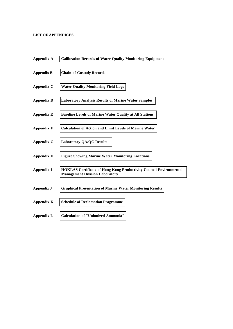# **LIST OF APPENDICES**

| <b>Appendix A</b> | <b>Calibration Records of Water Quality Monitoring Equipment</b>                                                   |
|-------------------|--------------------------------------------------------------------------------------------------------------------|
| <b>Appendix B</b> | <b>Chain-of-Custody Records</b>                                                                                    |
| Appendix C        | <b>Water Quality Monitoring Field Logs</b>                                                                         |
| <b>Appendix D</b> | <b>Laboratory Analysis Results of Marine Water Samples</b>                                                         |
| <b>Appendix E</b> | <b>Baseline Levels of Marine Water Quality at All Stations</b>                                                     |
| <b>Appendix F</b> | <b>Calculation of Action and Limit Levels of Marine Water</b>                                                      |
| <b>Appendix G</b> | <b>Laboratory QA/QC Results</b>                                                                                    |
| <b>Appendix H</b> | <b>Figure Showing Marine Water Monitoring Locations</b>                                                            |
| <b>Appendix I</b> | <b>HOKLAS Certificate of Hong Kong Productivity Council Environmental</b><br><b>Management Division Laboratory</b> |
| <b>Appendix J</b> | <b>Graphical Presentation of Marine Water Monitoring Results</b>                                                   |
| <b>Appendix K</b> | <b>Schedule of Reclamation Programme</b>                                                                           |
| Appendix L        | <b>Calculation of "Unionized Ammonia"</b>                                                                          |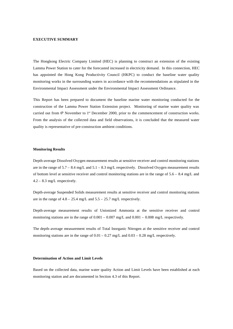#### **EXECUTIVE SUMMARY**

The Hongkong Electric Company Limited (HEC) is planning to construct an extension of the existing Lamma Power Station to cater for the forecasted increased in electricity demand. In this connection, HEC has appointed the Hong Kong Productivity Council (HKPC) to conduct the baseline water quality monitoring works in the surrounding waters in accordance with the recommendations as stipulated in the Environmental Impact Assessment under the Environmental Impact Assessment Ordinance.

This Report has been prepared to document the baseline marine water monitoring conducted for the construction of the Lamma Power Station Extension project. Monitoring of marine water quality was carried out from  $6<sup>th</sup>$  November to 1<sup>st</sup> December 2000, prior to the commencement of construction works. From the analysis of the collected data and field observations, it is concluded that the measured water quality is representative of pre-construction ambient conditions.

#### **Monitoring Results**

Depth-average Dissolved Oxygen measurement results at sensitive receiver and control monitoring stations are in the range of  $5.7 - 8.4$  mg/L and  $5.1 - 8.3$  mg/L respectively. Dissolved Oxygen measurement results of bottom level at sensitive receiver and control monitoring stations are in the range of  $5.6 - 8.4$  mg/L and 4.2 – 8.3 mg/L respectively.

Depth-average Suspended Solids measurement results at sensitive receiver and control monitoring stations are in the range of  $4.8 - 25.4$  mg/L and  $5.5 - 25.7$  mg/L respectively.

Depth-average measurement results of Unionized Ammonia at the sensitive receiver and control monitoring stations are in the range of  $0.001 - 0.007$  mg/L and  $0.001 - 0.008$  mg/L respectively.

The depth–average measurement results of Total Inorganic Nitrogen at the sensitive receiver and control monitoring stations are in the range of  $0.01 - 0.27$  mg/L and  $0.03 - 0.28$  mg/L respectively.

#### **Determination of Action and Limit Levels**

Based on the collected data, marine water quality Action and Limit Levels have been established at each monitoring station and are documented in Section 4.3 of this Report.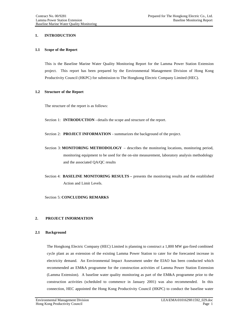# **1. INTRODUCTION**

## **1.1 Scope of the Report**

This is the Baseline Marine Water Quality Monitoring Report for the Lamma Power Station Extension project. This report has been prepared by the Environmental Management Division of Hong Kong Productivity Council (HKPC) for submission to The Hongkong Electric Company Limited (HEC).

#### **1.2 Structure of the Report**

The structure of the report is as follows:

Section 1: **INTRODUCTION** - details the scope and structure of the report.

Section 2: **PROJECT INFORMATION** - summarizes the background of the project.

- Section 3: **MONITORING METHODOLOGY**  describes the monitoring locations, monitoring period, monitoring equipment to be used for the on-site measurement, laboratory analysis methodology and the associated QA/QC results
- Section 4: **BASELINE MONITORING RESULTS –** presents the monitoring results and the established Action and Limit Levels.

## Section 5: **CONCLUDING REMARKS**

## **2. PROJECT INFORMATION**

## **2.1 Background**

The Hongkong Electric Company (HEC) Limited is planning to construct a 1,800 MW gas-fired combined cycle plant as an extension of the existing Lamma Power Station to cater for the forecasted increase in electricity demand. An Environmental Impact Assessment under the EIAO has been conducted which recommended an EM&A programme for the construction activities of Lamma Power Station Extension (Lamma Extension). A baseline water quality monitoring as part of the EM&A programme prior to the construction activities (scheduled to commence in January 2001) was also recommended. In this connection, HEC appointed the Hong Kong Productivity Council (HKPC) to conduct the baseline water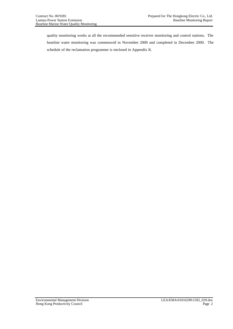quality monitoring works at all the recommended sensitive receiver monitoring and control stations. The baseline water monitoring was commenced in November 2000 and completed in December 2000. The schedule of the reclamation programme is enclosed in Appendix K.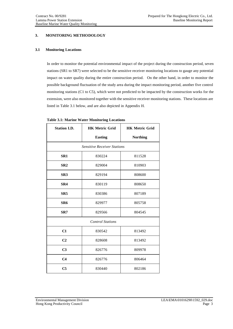# **3. MONITORING METHODOLOGY**

## **3.1 Monitoring Locations**

In order to monitor the potential environmental impact of the project during the construction period, seven stations (SR1 to SR7) were selected to be the sensitive receiver monitoring locations to gauge any potential impact on water quality during the entire construction period. On the other hand, in order to monitor the possible background fluctuation of the study area during the impact monitoring period, another five control monitoring stations (C1 to C5), which were not predicted to be impacted by the construction works for the extension, were also monitored together with the sensitive receiver monitoring stations. These locations are listed in Table 3.1 below, and are also depicted in Appendix H.

| <b>Station I.D.</b> | <b>HK Metric Grid</b>              | <b>HK Metric Grid</b> |  |  |  |  |  |  |  |
|---------------------|------------------------------------|-----------------------|--|--|--|--|--|--|--|
|                     | <b>Easting</b>                     | <b>Northing</b>       |  |  |  |  |  |  |  |
|                     | <b>Sensitive Receiver Stations</b> |                       |  |  |  |  |  |  |  |
| SR <sub>1</sub>     | 830224                             | 811528                |  |  |  |  |  |  |  |
| SR <sub>2</sub>     | 829004                             | 810903                |  |  |  |  |  |  |  |
| SR <sub>3</sub>     | 829194                             | 808600                |  |  |  |  |  |  |  |
| SR4                 | 830119                             | 808650                |  |  |  |  |  |  |  |
| SR <sub>5</sub>     | 830386                             | 807189                |  |  |  |  |  |  |  |
| SR6                 | 829977                             | 805758                |  |  |  |  |  |  |  |
| SR7                 | 829566                             | 804545                |  |  |  |  |  |  |  |
|                     | <b>Control Stations</b>            |                       |  |  |  |  |  |  |  |
| C1                  | 830542                             | 813492                |  |  |  |  |  |  |  |
| C <sub>2</sub>      | 828608                             | 813492                |  |  |  |  |  |  |  |
| C <sub>3</sub>      | 826776                             | 809978                |  |  |  |  |  |  |  |
| C <sub>4</sub>      | 826776                             | 806464                |  |  |  |  |  |  |  |
| C <sub>5</sub>      | 830440                             | 802186                |  |  |  |  |  |  |  |

**Table 3.1: Marine Water Monitoring Locations**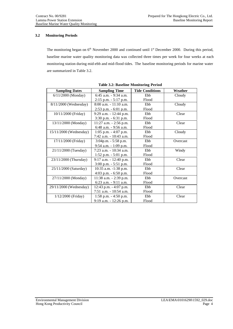# **3.2 Monitoring Periods**

The monitoring began on  $6<sup>th</sup>$  November 2000 and continued until 1<sup>st</sup> December 2000. During this period, baseline marine water quality monitoring data was collected three times per week for four weeks at each monitoring station during mid-ebb and mid-flood tides. The baseline monitoring periods for marine water are summarized in Table 3.2.

| <b>Sampling Dates</b>    | <b>Sampling Time</b>      | <b>Tide Conditions</b> | Weather  |
|--------------------------|---------------------------|------------------------|----------|
| $6/11/2000$ (Monday)     | $6:45$ a.m. $-9:34$ a.m.  | Ebb                    | Cloudy   |
|                          | $2:15$ p.m. $-5:17$ p.m.  | Flood                  |          |
| 8/11/2000 (Wednesday)    | $8:00$ a.m. $-11:10$ a.m. | <b>Ebb</b>             | Cloudy   |
|                          | $2:53$ p.m. $-6:01$ p.m.  | Flood                  |          |
| 10/11/2000 (Friday)      | 9:29 a.m. - 12:44 p.m.    | Ebb                    | Clear    |
|                          | $3:30$ p.m. $-6:31$ p.m.  | Flood                  |          |
| 13/11/2000 (Monday)      | 11:27 a.m. - 2:56 p.m.    | Ebb                    | Clear    |
|                          | 6:48 a.m. - 9:56 a.m.     | Flood                  |          |
| $15/11/2000$ (Wednesday) | $1:05$ p.m. $-4:07$ p.m.  | Ebb                    | Cloudy   |
|                          | 7:42 a.m. - 10:43 a.m.    | Flood                  |          |
| 17/11/2000 (Friday)      | $3:04$ p.m. - 5:58 p.m.   | Ebb                    | Overcast |
|                          | 9:54 a.m. - 1:09 p.m.     | Flood                  |          |
| 21/11/2000 (Tuesday)     | $7:23$ a.m. $-10:34$ a.m. | Ebb                    | Windy    |
|                          | $1:52$ p.m. $-5:01$ p.m.  | Flood                  |          |
| 23/11/2000 (Thursday)    | $9:17$ a.m. $-12:40$ p.m. | Ebb                    | Clear    |
|                          | 3:00 p.m. - 5:51 p.m.     | Flood                  |          |
| 25/11/2000 (Saturday)    | 10:35 a.m. -1:38 p.m.     | Ebb                    | Clear    |
|                          | $4:03$ p.m. $-6:50$ p.m.  | Flood                  |          |
| 27/11/2000 (Monday)      | 11:38 a.m. - 2:39 p.m.    | Ebb                    | Overcast |
|                          | $6:23$ a.m. $-9:11$ a.m.  | Flood                  |          |
| 29/11/2000 (Wednesday)   | 12:43 p.m. - 4:07 p.m.    | Ebb                    | Clear    |
|                          | 7:51 a.m. - 10:54 a.m.    | Flood                  |          |
| $1/12/2000$ (Friday)     | $1:58$ p.m. $-4:50$ p.m.  | Ebb                    | Clear    |
|                          | 9:19 a.m. - 12:26 p.m.    | Flood                  |          |

**Table 3.2: Baseline Monitoring Period**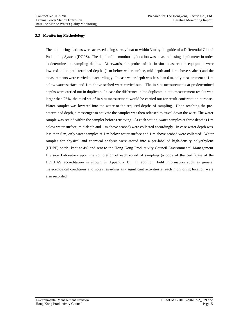# **3.3 Monitoring Methodology**

The monitoring stations were accessed using survey boat to within 3 m by the guide of a Differential Global Positioning System (DGPS). The depth of the monitoring location was measured using depth meter in order to determine the sampling depths. Afterwards, the probes of the in-situ measurement equipment were lowered to the predetermined depths (1 m below water surface, mid-depth and 1 m above seabed) and the measurements were carried out accordingly. In case water depth was less than 6 m, only measurement at 1 m below water surface and 1 m above seabed were carried out. The in-situ measurements at predetermined depths were carried out in duplicate. In case the difference in the duplicate in-situ measurement results was larger than 25%, the third set of in-situ measurement would be carried out for result confirmation purpose. Water sampler was lowered into the water to the required depths of sampling. Upon reaching the predetermined depth, a messenger to activate the sampler was then released to travel down the wire. The water sample was sealed within the sampler before retrieving. At each station, water samples at three depths (1 m below water surface, mid-depth and 1 m above seabed) were collected accordingly. In case water depth was less than 6 m, only water samples at 1 m below water surface and 1 m above seabed were collected. Water samples for physical and chemical analysis were stored into a pre-labelled high-density polyethylene (HDPE) bottle, kept at  $AC$  and sent to the Hong Kong Productivity Council Environmental Management Division Laboratory upon the completion of each round of sampling (a copy of the certificate of the HOKLAS accreditation is shown in Appendix I). In addition, field information such as general meteorological conditions and notes regarding any significant activities at each monitoring location were also recorded.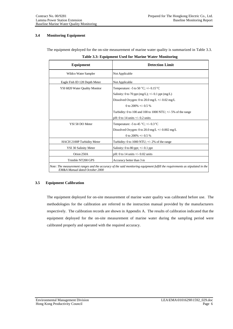# **3.4 Monitoring Equipment**

The equipment deployed for the on-site measurement of marine water quality is summarized in Table 3.3.

| Equipment                      | <b>Detection Limit</b>                                                                                                       |
|--------------------------------|------------------------------------------------------------------------------------------------------------------------------|
| Wildco Water Sampler           | Not Applicable                                                                                                               |
| Eagle Fish ID 128 Depth Meter  | Not Applicable                                                                                                               |
| YSI 6820 Water Quality Monitor | Temperature: -5 to 50 $\,^{\circ}$ C; +/- 0.15 $\,^{\circ}$ C                                                                |
|                                | Salinity: 0 to 70 ppt (mg/L); $\pm$ /- 0.1 ppt (mg/L)                                                                        |
|                                | Dissolved Oxygen: 0 to 20.0 mg/L $+/-$ 0.02 mg/L                                                                             |
|                                | 0 to 200\% +/- 0.5 \%                                                                                                        |
|                                | Turbidity: 0 to 100 and 100 to 1000 NTU; $\pm$ /-5% of the range                                                             |
|                                | pH: 0 to 14 units $+/-$ 0.2 units                                                                                            |
| YSI 58 DO Meter                | Temperature: -5 to 45 $°C$ ; +/- 0.3 °C                                                                                      |
|                                | Dissolved Oxygen: 0 to 20.0 mg/L +/- 0.002 mg/L                                                                              |
|                                | 0 to 200% +/- 0.5 %                                                                                                          |
| HACH 2100P Turbidity Meter     | Turbidity: 0 to 1000 NTU; $+/- 2\%$ of the range                                                                             |
| YSI 30 Salinity Meter          | Salinity: 0 to 80 ppt; $\pm$ /-0.1 ppt                                                                                       |
| Orion 250A                     | pH: 0 to 14 units $+/- 0.02$ units                                                                                           |
| Trimble NT200 GPS              | Accuracy better than 3 m                                                                                                     |
| EM&A Manual dated October 2000 | Note: The measurement ranges and the accuracy of the said monitoring equipment fulfill the requirements as stipulated in the |

|  |  |  | Table 3.3: Equipment Used for Marine Water Monitoring |
|--|--|--|-------------------------------------------------------|
|  |  |  |                                                       |

# **3.5 Equipment Calibration**

The equipment deployed for on-site measurement of marine water quality was calibrated before use. The methodologies for the calibration are referred to the instruction manual provided by the manufacturers respectively. The calibration records are shown in Appendix A. The results of calibration indicated that the equipment deployed for the on-site measurement of marine water during the sampling period were calibrated properly and operated with the required accuracy.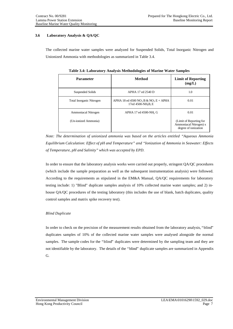# **3.6 Laboratory Analysis & QA/QC**

The collected marine water samples were analyzed for Suspended Solids, Total Inorganic Nitrogen and Unionized Ammonia with methodologies as summarized in Table 3.4.

| <b>Parameter</b>                | Method                                                                                         | <b>Limit of Reporting</b><br>(mg/L)                                       |  |
|---------------------------------|------------------------------------------------------------------------------------------------|---------------------------------------------------------------------------|--|
| Suspended Solids                | APHA 17 ed 2540 D                                                                              | 1.0                                                                       |  |
| <b>Total Inorganic Nitrogen</b> | APHA 18 ed 4500 NO <sub>2</sub> B & NO <sub>3</sub> E + APHA<br>17ed 4500-NH <sub>3</sub> B, E | 0.01                                                                      |  |
| <b>Ammoniacal Nitrogen</b>      | APHA 17 ed 4500-NH3 G                                                                          | 0.01                                                                      |  |
| (Un-ionized Ammonia)            |                                                                                                | (Limit of Reporting for<br>Ammoniacal Nitrogen) x<br>degree of ionization |  |

**Table 3.4: Laboratory Analysis Methodologies of Marine Water Samples**

*Note: The determination of unionized ammonia was based on the articles entitled "Aqueous Ammonia Equilibrium Calculation: Effect of pH and Temperature" and "Ionization of Ammonia in Seawater: Effects of Temperature, pH and Salinity" which was accepted by EPD.*

In order to ensure that the laboratory analysis works were carried out properly, stringent QA/QC procedures (which include the sample preparation as well as the subsequent instrumentation analysis) were followed. According to the requirements as stipulated in the EM&A Manual, QA/QC requirements for laboratory testing include: 1) "Blind" duplicate samples analysis of 10% collected marine water samples; and 2) inhouse QA/QC procedures of the testing laboratory (this includes the use of blank, batch duplicates, quality control samples and matrix spike recovery test).

## *Blind Duplicate*

In order to check on the precision of the measurement results obtained from the laboratory analysis, "blind" duplicates samples of 10% of the collected marine water samples were analysed alongside the normal samples. The sample codes for the "blind" duplicates were determined by the sampling team and they are not identifiable by the laboratory. The details of the "blind" duplicate samples are summarized in Appendix G.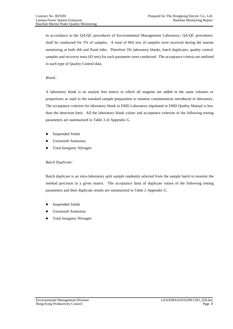In accordance to the QA/QC procedures of Environmental Management Laboratory, QA/QC procedures shall be conducted for 5% of samples. A total of 864 sets of samples were received during the marine monitoring at both ebb and flood tides. Therefore 5% laboratory blanks, batch duplicates, quality control samples and recovery tests (43 sets) for each parameter were conducted. The acceptance criteria are outlined in each type of Quality Control data.

## *Blank:*

A laboratory blank is an analyte free matrix to which all reagents are added in the same volumes or proportions as used in the standard sample preparation to monitor contamination introduced in laboratory. The acceptance criterion for laboratory blank in EMD Laboratory stipulated in EMD Quality Manual is less than the detection limit. All the laboratory blank values and acceptance criterion of the following testing parameters are summarized in Table 3 of Appendix G.

- Suspended Solids
- Unionized Ammonia
- Total Inorganic Nitrogen

# *Batch Duplicate:*

Batch duplicate is an intra-laboratory split sample randomly selected from the sample batch to monitor the method precision in a given matrix. The acceptance limit of duplicate values of the following testing parameters and their duplicate results are summarized in Table 2 Appendix G.

- Suspended Solids
- Unionized Ammonia
- Total Inorganic Nitrogen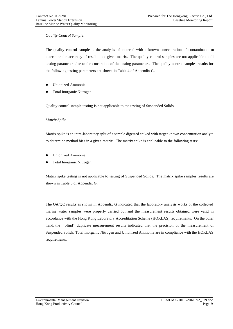## *Quality Control Sample:*

The quality control sample is the analysis of material with a known concentration of contaminants to determine the accuracy of results in a given matrix. The quality control samples are not applicable to all testing parameters due to the constraints of the testing parameters. The quality control samples results for the following testing parameters are shown in Table 4 of Appendix G.

- Unionized Ammonia
- Total Inorganic Nitrogen

Quality control sample testing is not applicable to the testing of Suspended Solids.

## *Matrix Spike:*

Matrix spike is an intra-laboratory split of a sample digested spiked with target known concentration analyte to determine method bias in a given matrix. The matrix spike is applicable to the following tests:

- Unionized Ammonia
- Total Inorganic Nitrogen

Matrix spike testing is not applicable to testing of Suspended Solids. The matrix spike samples results are shown in Table 5 of Appendix G.

The QA/QC results as shown in Appendix G indicated that the laboratory analysis works of the collected marine water samples were properly carried out and the measurement results obtained were valid in accordance with the Hong Kong Laboratory Accreditation Scheme (HOKLAS) requirements. On the other hand, the "blind" duplicate measurement results indicated that the precision of the measurement of Suspended Solids, Total Inorganic Nitrogen and Unionized Ammonia are in compliance with the HOKLAS requirements.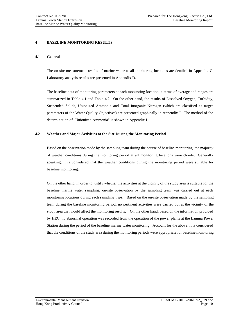## **4 BASELINE MONITORING RESULTS**

#### **4.1 General**

The on-site measurement results of marine water at all monitoring locations are detailed in Appendix C. Laboratory analysis results are presented in Appendix D.

The baseline data of monitoring parameters at each monitoring location in terms of average and ranges are summarized in Table 4.1 and Table 4.2. On the other hand, the results of Dissolved Oxygen, Turbidity, Suspended Solids, Unionized Ammonia and Total Inorganic Nitrogen (which are classified as target parameters of the Water Quality Objectives) are presented graphically in Appendix J. The method of the determination of "Unionized Ammonia" is shown in Appendix L.

## **4.2 Weather and Major Activities at the Site During the Monitoring Period**

Based on the observation made by the sampling team during the course of baseline monitoring, the majority of weather conditions during the monitoring period at all monitoring locations were cloudy. Generally speaking, it is considered that the weather conditions during the monitoring period were suitable for baseline monitoring.

On the other hand, in order to justify whether the activities at the vicinity of the study area is suitable for the baseline marine water sampling, on-site observation by the sampling team was carried out at each monitoring locations during each sampling trips. Based on the on-site observation made by the sampling team during the baseline monitoring period, no pertinent activities were carried out at the vicinity of the study area that would affect the monitoring results. On the other hand, based on the information provided by HEC, no abnormal operation was recorded from the operation of the power plants at the Lamma Power Station during the period of the baseline marine water monitoring. Account for the above, it is considered that the conditions of the study area during the monitoring periods were appropriate for baseline monitoring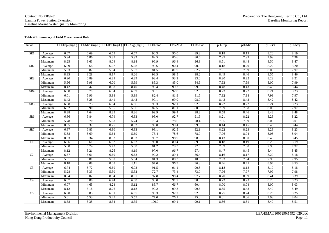#### **Table 4.1: Summary of Field Measurement Data**

| Station         |         |      | DO-Top $(mg/L)$ DO-Mid $(mg/L)$ DO-Bot $(mg/L)$ DO-Avg $(mg/L)$ |      |      | $DO%$ -Top | DO%-Mid | DO%-Bot | pH-Top | pH-Mid | pH-Bot | pH-Avg |
|-----------------|---------|------|-----------------------------------------------------------------|------|------|------------|---------|---------|--------|--------|--------|--------|
| SR1             | Average | 6.67 | 6.69                                                            | 6.65 | 6.67 | 90.3       | 90.0    | 89.8    | 8.18   | 8.19   | 8.20   | 8.19   |
|                 | Minimum | 5.94 | 5.86                                                            | 5.85 | 5.93 | 82.5       | 80.6    | 80.6    | 7.95   | 7.99   | 7.99   | 7.98   |
|                 | Maximum | 8.25 | 8.63                                                            | 8.09 | 8.18 | 96.9       | 96.4    | 96.9    | 8.51   | 8.48   | 8.50   | 8.47   |
| SR <sub>2</sub> | Average | 6.69 | 6.68                                                            | 6.67 | 6.68 | 90.6       | 90.4    | 90.3    | 8.18   | 8.20   | 8.22   | 8.20   |
|                 | Minimum | 5.93 | 5.87                                                            | 5.94 | 5.97 | 81.5       | 81.9    | 82.2    | 7.91   | 7.99   | 8.00   | 7.97   |
|                 | Maximum | 8.35 | 8.28                                                            | 8.17 | 8.26 | 98.5       | 98.5    | 98.2    | 8.49   | 8.46   | 8.55   | 8.46   |
| SR3             | Average | 6.90 | 6.89                                                            | 6.89 | 6.89 | 93.4       | 93.2    | 93.0    | 8.20   | 8.22   | 8.22   | 8.21   |
|                 | Minimum | 5.96 | 5.98                                                            | 6.00 | 5.99 | 85.3       | 85.0    | 84.9    | 7.93   | 7.99   | 8.00   | 7.99   |
|                 | Maximum | 8.42 | 8.42                                                            | 8.38 | 8.40 | 99.4       | 99.2    | 99.5    | 8.48   | 8.43   | 8.43   | 8.44   |
| SR4             | Average | 6.88 | 6.79                                                            | 6.84 | 6.89 | 93.1       | 92.8    | 92.5    | 8.23   | 8.22   | 8.24   | 8.23   |
|                 | Minimum | 6.01 | 5.96                                                            | 5.93 | 5.99 | 82.4       | 81.9    | 81.5    | 7.92   | 7.98   | 7.99   | 7.97   |
|                 | Maximum | 8.43 | 8.28                                                            | 8.41 | 8.42 | 99.1       | 99.0    | 98.9    | 8.43   | 8.42   | 8.42   | 8.42   |
| SR <sub>5</sub> | Average | 6.88 | 6.73                                                            | 6.84 | 6.86 | 93.3       | 92.1    | 92.5    | 8.22   | 8.22   | 8.24   | 8.23   |
|                 | Minimum | 6.02 | 5.90                                                            | 5.86 | 5.96 | 82.5       | 81.1    | 80.5    | 7.89   | 7.98   | 8.00   | 7.97   |
|                 | Maximum | 8.38 | 7.64                                                            | 8.35 | 8.36 | 99.9       | 99.4    | 98.8    | 8.58   | 8.46   | 8.48   | 8.48   |
| SR <sub>6</sub> | Average | 6.86 | 6.84                                                            | 6.79 | 6.83 | 93.0       | 92.7    | 91.9    | 8.21   | 8.22   | 8.23   | 8.22   |
|                 | Minimum | 5.78 | 5.70                                                            | 5.68 | 5.74 | 79.4       | 78.6    | 78.4    | 7.95   | 7.99   | 8.06   | 8.01   |
|                 | Maximum | 8.35 | 8.37                                                            | 8.25 | 8.32 | 99.0       | 99.4    | 99.0    | 8.44   | 8.45   | 8.45   | 8.44   |
| SR7             | Average | 6.87 | 6.83                                                            | 6.80 | 6.83 | 93.1       | 92.5    | 92.1    | 8.22   | 8.23   | 8.23   | 8.23   |
|                 | Minimum | 5.68 | 5.69                                                            | 5.64 | 5.69 | 78.4       | 78.6    | 78.0    | 7.96   | 8.04   | 8.06   | 8.04   |
|                 | Maximum | 8.33 | 8.34                                                            | 8.32 | 8.33 | 98.7       | 98.9    | 98.9    | 8.43   | 8.50   | 8.45   | 8.45   |
| C1              | Average | 6.66 | 6.61                                                            | 6.62 | 6.63 | 90.0       | 89.4    | 89.5    | 8.18   | 8.19   | 8.20   | 8.19   |
|                 | Minimum | 5.88 | 5.74                                                            | 5.42 | 5.80 | 81.2       | 79.3    | 77.6    | 7.89   | 7.88   | 7.98   | 7.92   |
|                 | Maximum | 8.12 | 8.21                                                            | 8.26 | 8.19 | 97.0       | 96.7    | 97.4    | 8.47   | 8.45   | 8.44   | 8.45   |
| C <sub>2</sub>  | Average | 6.67 | 6.61                                                            | 6.60 | 6.63 | 90.2       | 89.4    | 86.4    | 8.16   | 8.17   | 8.20   | 8.18   |
|                 | Minimum | 5.81 | 5.81                                                            | 5.80 | 5.84 | 81.3       | 80.3    | 10.6    | 7.93   | 7.94   | 7.96   | 7.95   |
|                 | Maximum | 8.18 | 8.08                                                            | 8.08 | 8.11 | 97.0       | 96.9    | 96.8    | 8.46   | 8.45   | 8.94   | 8.53   |
| C <sub>3</sub>  | Average | 6.74 | 6.72                                                            | 6.69 | 6.72 | 91.5       | 91.1    | 90.5    | 8.18   | 8.18   | 8.19   | 8.18   |
|                 | Minimum | 5.28 | 5.33                                                            | 5.30 | 5.32 | 72.7       | 73.4    | 73.0    | 7.96   | 7.97   | 7.99   | 7.98   |
|                 | Maximum | 8.04 | 8.02                                                            | 8.04 | 8.01 | 97.8       | 98.4    | 97.7    | 8.70   | 8.39   | 8.41   | 8.39   |
| C4              | Average | 6.87 | 6.80                                                            | 6.74 | 6.80 | 93.0       | 91.7    | 90.8    | 8.23   | 8.23   | 8.23   | 8.23   |
|                 | Minimum | 6.07 | 4.65                                                            | 4.24 | 5.12 | 83.7       | 66.7    | 60.4    | 8.00   | 8.04   | 8.00   | 8.03   |
|                 | Maximum | 8.12 | 8.18                                                            | 8.26 | 8.18 | 99.2       | 99.3    | 99.6    | 8.55   | 8.48   | 8.47   | 8.49   |
| C <sub>5</sub>  | Average | 6.90 | 6.83                                                            | 6.81 | 6.85 | 93.3       | 92.2    | 92.0    | 8.25   | 8.24   | 8.25   | 8.25   |
|                 | Minimum | 5.61 | 5.53                                                            | 5.45 | 5.55 | 77.0       | 76.1    | 75.0    | 8.01   | 8.06   | 7.93   | 8.04   |
|                 | Maximum | 8.38 | 8.35                                                            | 8.34 | 8.35 | 100.0      | 99.1    | 99.1    | 8.56   | 8.51   | 8.49   | 8.51   |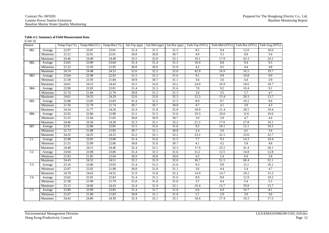#### Contract No. 00/9281 Lamma Power Station Extension Baseline Marine Water Quality Monitoring

#### **Table 4.1: Summary of Field Measurement Data**

(Cont'd)

| Station         |         |       |       |       |      |      |                   | Temp-Top(°C)   Temp-Mid (°C)   Temp-Bot(°C)   Sal-Top (ppt)   Sal-Mid (ppt)   Sal-Bot (ppt)   Turb-Top (NTU)   Turb-Mid (NTU)   Turb-Bot (NTU)   Turb-Avg (NTU) |                  |                  |      |
|-----------------|---------|-------|-------|-------|------|------|-------------------|-----------------------------------------------------------------------------------------------------------------------------------------------------------------|------------------|------------------|------|
| SR <sub>1</sub> | Average | 22.97 | 23.07 | 23.01 | 31.4 | 31.5 | 31.5              | 8.5                                                                                                                                                             | 9.4              | 12.0             | 10.0 |
|                 | Minimum | 21.21 | 22.01 | 22.01 | 30.8 | 30.8 | 30.7              | 4.9                                                                                                                                                             | 5.5              | 4.9              | 5.4  |
|                 | Maximum | 24.46 | 24.49 | 24.48 | 32.5 | 32.0 | 32.1              | 19.1                                                                                                                                                            | 17.9             | 43.3             | 24.1 |
| SR <sub>2</sub> | Average | 23.05 | 23.09 | 23.04 | 31.4 | 31.4 | 31.5              | 10.4                                                                                                                                                            | 8.8              | 9.4              | 9.5  |
|                 | Minimum | 21.33 | 21.93 | 21.95 | 30.8 | 30.9 | 31.0              | 4.2                                                                                                                                                             | 4.5              | 4.4              | 4.8  |
|                 | Maximum | 24.74 | 24.48 | 24.53 | 32.6 | 32.3 | 32.0              | 42.9                                                                                                                                                            | 16.9             | 16.5             | 19.7 |
| SR <sub>3</sub> | Average | 23.04 | 22.98 | 22.92 | 31.5 | 31.5 | 31.6              | 9.1                                                                                                                                                             | 9.9              | 10.8             | 9.9  |
|                 | Minimum | 21.58 | 21.93 | 21.84 | 30.9 | 30.7 | 31.1              | $\overline{3.6}$                                                                                                                                                | $\overline{3.6}$ | 4.4              | 3.9  |
|                 | Maximum | 24.61 | 24.52 | 24.42 | 32.5 | 32.0 | 32.2              | 24.9                                                                                                                                                            | 16.9             | 18.6             | 18.7 |
| SR4             | Average | 22.90 | 22.83 | 22.81 | 31.4 | 31.5 | 31.6              | 7.8                                                                                                                                                             | 9.2              | 10.4             | 9.1  |
|                 | Minimum | 21.74 | 21.84 | 21.79 | 30.8 | 31.2 | 31.3              | 3.6                                                                                                                                                             | 3.5              | 5.7              | 4.7  |
|                 | Maximum | 24.61 | 24.33 | 24.29 | 32.6 | 32.0 | 32.3              | 12.3                                                                                                                                                            | 13.4             | 20.3             | 13.7 |
| SR5             | Average | 22.88 | 23.05 | 22.83 | 31.4 | 31.5 | 31.5              | 8.9                                                                                                                                                             | 9.7              | 10.2             | 9.6  |
|                 | Minimum | 21.56 | 21.79 | 21.74 | 30.7 | 30.7 | 30.8              | 4.7                                                                                                                                                             | 4.1              | $\overline{3.9}$ | 4.3  |
|                 | Maximum | 24.34 | 31.77 | 24.26 | 32.4 | 31.9 | 32.0              | 18.9                                                                                                                                                            | 21.4             | 28.5             | 18.4 |
| SR <sub>6</sub> | Average | 22.92 | 22.86 | 22.88 | 31.5 | 31.5 | 31.6              | 10.3                                                                                                                                                            | 10.0             | 11.6             | 10.6 |
|                 | Minimum | 21.55 | 21.84 | 21.85 | 30.8 | 30.9 | 30.7              | $\overline{3.9}$                                                                                                                                                | $\overline{3.9}$ | 4.7              | 4.4  |
|                 | Maximum | 24.46 | 24.50 | 24.28 | 32.3 | 32.1 | 32.2              | 21.5                                                                                                                                                            | 17.6             | 27.8             | 18.1 |
| SR7             | Average | 22.91 | 22.86 | 22.85 | 31.5 | 31.6 | 31.6              | 9.2                                                                                                                                                             | 10.1             | 12.1             | 10.5 |
|                 | Minimum | 21.73 | 21.88 | 21.85 | 30.7 | 31.1 | 30.8              | 2.4                                                                                                                                                             | 3.0              | 4.1              | 3.4  |
|                 | Maximum | 24.32 | 24.25 | 24.22 | 32.2 | 32.1 | 32.2              | 23.2                                                                                                                                                            | 22.1             | 23.6             | 22.7 |
| Cl              | Average | 22.98 | 23.05 | 23.00 | 31.4 | 31.6 | 31.5              | 7.7                                                                                                                                                             | 9.3              | 14.3             | 10.4 |
|                 | Minimum | 21.31 | 22.09 | 22.06 | 30.8 | 31.0 | 30.7              | 4.1                                                                                                                                                             | 4.2              | 5.8              | 4.8  |
|                 | Maximum | 24.48 | 24.51 | 24.46 | 32.4 | 32.1 | 32.3              | 17.9                                                                                                                                                            | 25.5             | 41.4             | 28.1 |
| C2              | Average | 23.04 | 23.08 | 23.06 | 31.4 | 31.5 | 31.6              | 11.2                                                                                                                                                            | 12.5             | 14.8             | 12.8 |
|                 | Minimum | 21.83 | 21.85 | 22.04 | 30.9 | 30.8 | 30.8              | 4.5                                                                                                                                                             | 5.4              | 6.0              | 5.8  |
|                 | Maximum | 24.43 | 24.52 | 24.51 | 32.2 | 31.9 | 32.0              | 36.7                                                                                                                                                            | 51.5             | 68.4             | 52.1 |
| C <sub>3</sub>  | Average | 23.16 | 23.06 | 23.03 | 31.4 | 31.5 | $\overline{31.6}$ | 9.3                                                                                                                                                             | 9.9              | 11.1             | 10.1 |
|                 | Minimum | 22.07 | 22.02 | 21.98 | 30.8 | 31.0 | 31.1              | 3.6                                                                                                                                                             | 4.4              | 5.4              | 4.7  |
|                 | Maximum | 24.78 | 24.62 | 24.52 | 31.9 | 31.8 | 32.2              | 14.9                                                                                                                                                            | 14.7             | 18.2             | 15.2 |
| $\overline{C4}$ | Average | 23.02 | 22.91 | 22.83 | 31.4 | 31.5 | 31.6              | 8.9                                                                                                                                                             | 8.9              | 12.9             | 10.2 |
|                 | Minimum | 21.58 | 21.90 | 21.79 | 31.0 | 31.0 | 31.0              | $\overline{3.7}$                                                                                                                                                | 4.4              | $\overline{5.4}$ | 5.5  |
|                 | Maximum | 25.15 | 24.66 | 24.43 | 32.4 | 31.9 | 32.1              | 16.4                                                                                                                                                            | 15.7             | 29.8             | 15.7 |
| $\overline{C5}$ | Average | 22.89 | 22.89 | 22.85 | 31.4 | 31.7 | 31.6              | 6.6                                                                                                                                                             | 6.9              | 10.7             | 8.1  |
|                 | Minimum | 21.67 | 21.80 | 21.83 | 30.8 | 31.1 | 31.0              | 2.1                                                                                                                                                             | 2.9              | $\overline{3.9}$ | 3.6  |
|                 | Maximum | 24.42 | 24.80 | 24.30 | 32.4 | 32.1 | 32.1              | 18.4                                                                                                                                                            | 17.4             | 19.3             | 17.5 |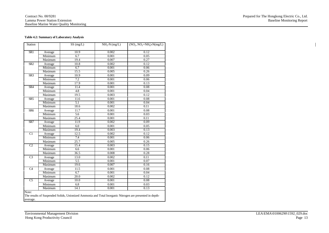#### Contract No. 00/9281 Lamma Power Station Extension Baseline Marine Water Quality Monitoring

#### **Table 4.2: Summary of Laboratory Analysis**

| Station         |         | SS(mg/L)          | $NH3-N (mg/L)$ | $(NO2, NO3+NH3)-N(mg/L)$ |
|-----------------|---------|-------------------|----------------|--------------------------|
| SR <sub>1</sub> | Average | 10.9              | 0.002          | 0.12                     |
|                 | Minimum | 6.7               | 0.001          | 0.05                     |
|                 | Maximum | 19.4              | 0.007          | 0.27                     |
| SR <sub>2</sub> | Average | 10.8              | 0.002          | 0.12                     |
|                 | Minimum | 6.7               | 0.001          | 0.06                     |
|                 | Maximum | 15.5              | 0.005          | 0.26                     |
| SR <sub>3</sub> | Average | 10.9              | 0.001          | 0.09                     |
|                 | Minimum | 7.2               | 0.001          | 0.06                     |
|                 | Maximum | 17.9              | 0.001          | 0.13                     |
| SR4             | Average | 11.4              | 0.001          | 0.08                     |
|                 | Minimum | 4.8               | 0.001          | 0.04                     |
|                 | Maximum | 19.5              | 0.003          | 0.12                     |
| SR <sub>5</sub> | Average | 11.6              | 0.001          | 0.08                     |
|                 | Minimum | 5.1               | 0.001          | 0.04                     |
|                 | Maximum | 18.6              | 0.002          | 0.11                     |
| SR <sub>6</sub> | Average | 11.7              | 0.001          | 0.08                     |
|                 | Minimum | 5.6               | 0.001          | 0.03                     |
|                 | Maximum | $\overline{25.4}$ | 0.001          | 0.11                     |
| S <sub>R7</sub> | Average | 11.9              | 0.002          | 0.09                     |
|                 | Minimum | 6.0               | 0.001          | 0.05                     |
|                 | Maximum | 19.4              | 0.003          | 0.13                     |
| $\overline{C1}$ | Average | 12.5              | 0.002          | 0.12                     |
|                 | Minimum | 7.4               | 0.001          | 0.06                     |
|                 | Maximum | 25.7              | 0.005          | 0.26                     |
| $\overline{C2}$ | Average | 15.4              | 0.003          | 0.15                     |
|                 | Minimum | 6.6               | 0.001          | 0.06                     |
|                 | Maximum | $\overline{36.5}$ | 0.008          | 0.28                     |
| C <sub>3</sub>  | Average | 13.0              | 0.002          | 0.11                     |
|                 | Minimum | $\overline{5.5}$  | 0.001          | 0.07                     |
|                 | Maximum | 19.6              | 0.007          | 0.16                     |
| C4              | Average | 11.5              | 0.001          | 0.08                     |
|                 | Minimum | 6.7               | 0.001          | 0.04                     |
|                 | Maximum | 20.0              | 0.002          | 0.12                     |
| $\overline{C5}$ | Average | 10.0              | 0.001          | 0.08                     |
|                 | Minimum | 6.8               | 0.001          | 0.03                     |
|                 | Maximum | 14.1              | 0.001          | 0.13                     |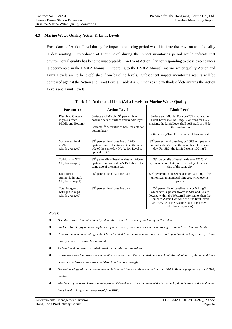# **4.3 Marine Water Quality Action & Limit Levels**

Exceedance of Action Level during the impact monitoring period would indicate that environmental quality is deteriorating. Exceedance of Limit Level during the impact monitoring period would indicate that environmental quality has become unacceptable. An Event Action Plan for responding to these exceedances is documented in the EM&A Manual. According to the EM&A Manual, marine water quality Action and Limit Levels are to be established from baseline levels. Subsequent impact monitoring results will be compared against the Action and Limit Levels. Table 4.4 summarizes the methods of determining the Action Levels and Limit Levels.

| <b>Parameter</b>                                            | <b>Action Level</b>                                                                                                                                             | <b>Limit Level</b>                                                                                                                                                                                                                                                                                   |
|-------------------------------------------------------------|-----------------------------------------------------------------------------------------------------------------------------------------------------------------|------------------------------------------------------------------------------------------------------------------------------------------------------------------------------------------------------------------------------------------------------------------------------------------------------|
| Dissolved Oxygen in<br>mg/L (Surface,<br>Middle and Bottom) | Surface and Middle: $5th$ percentile of<br>baseline data of surface and middle layer<br>Bottom: 5 <sup>th</sup> percentile of baseline data for<br>bottom layer | Surface and Middle: For non-FCZ stations, the<br>Limit Level shall be 4 mg/L, whereas for FCZ<br>stations, the Limit Level shall be 5 mg/L or 1%-le<br>of the baseline data<br>Bottom: 2 mg/L or $1st$ percentile of baseline data                                                                   |
| Suspended Solid in<br>mg/L<br>(depth-averaged)              | 95 <sup>th</sup> percentile of baseline or 120%<br>upstream control station's SS at the same<br>tide of the same day. No Action Level is<br>applied to SR3.     | 99 <sup>th</sup> percentile of baseline, or 130% of upstream<br>control station's SS at the same tide of the same<br>day. For SR3, the Limit Level is $100 \text{ mg/L}$                                                                                                                             |
| Turbidity in NTU<br>(depth-averaged)                        | $95th$ percentile of baseline data or 120% of<br>upstream control station's Turbidity at the<br>same tide of the same day                                       | $99th$ percentile of baseline data or 130% of<br>upstream control station's Turbidity at the same<br>tide of the same day                                                                                                                                                                            |
| Un-ionized<br>Ammonia in mg/L<br>(depth-averaged)           | 95 <sup>th</sup> percentile of baseline data                                                                                                                    | 99 <sup>th</sup> percentile of baseline data or 0.021 mg/L for<br>unionized ammoniacal nitrogen, whichever is<br>greater                                                                                                                                                                             |
| Total Inorganic<br>Nitrogen in mg/L<br>(depth-averaged)     | 95 <sup>th</sup> percentile of baseline data                                                                                                                    | 99 <sup>th</sup> percentile of baseline data or 0.1 mg/L,<br>whichever is greater (Note: as SR1 and C1 are<br>located within the Western Buffer rather than the<br>Southern Waters Control Zone, the limit levels<br>are 99%-ile of the baseline data or $0.4 \text{ mg/L}$<br>whichever is greater) |

**Table 4.4: Action and Limit (A/L) Levels for Marine Water Quality** 

*Notes:* 

- $\bullet$ *"Depth-averaged" is calculated by taking the arithmetic means of reading of all three depths.*
- $\bullet$ *For Dissolved Oxygen, non-compliance of water quality limits occurs when monitoring results is lower than the limits.*
- $\bullet$  *Unionized ammoniacal nitrogen shall be calculated from the monitored ammoniacal nitrogen based on temperature, pH and salinity which are routinely monitored.*
- $\bullet$ *All baseline data were calculated based on the tide average values.*
- $\bullet$  *In case the individual measurement result was smaller than the associated detection limit, the calculation of Action and Limit Levels would base on the associated detection limit accordingly.*
- $\bullet$  *The methodology of the determination of Action and Limit Levels are based on the EM&A Manual prepared by ERM (HK) Limited*
- $\bullet$  *Whichever of the two criteria is greater, except DO which will take the lower of the two criteria, shall be used as the Action and Limit Levels. Subject to the approval from EPD.*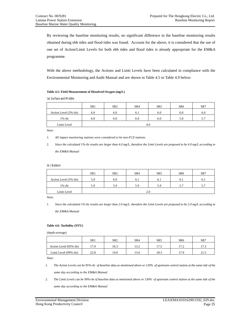By reviewing the baseline monitoring results, no significant difference in the baseline monitoring results obtained during ebb tides and flood tides was found. Account for the above, it is considered that the use of one set of Action/Limit Levels for both ebb tides and flood tides is already appropriate for the EM&A programme.

With the above methodology, the Actions and Limit Levels have been calculated in compliance with the Environmental Monitoring and Audit Manual and are shown in Table 4.5 to Table 4.9 below:

#### **Table 4.5: Field Measurement of Dissolved Oxygen (mg/L)**

(a) Surface and Middle

|                       | SR <sub>1</sub> | SR <sub>2</sub> | SR <sub>4</sub> | SR <sub>5</sub> | SR <sub>6</sub> | SR7 |  |
|-----------------------|-----------------|-----------------|-----------------|-----------------|-----------------|-----|--|
| Action Level (5%-ile) | 6.0             | 6.0             | 6.1             | 6.0             | 6.0             | 6.0 |  |
| $1\%$ -ile            | 6.0             | 6.0             | 6.0             | 6.0             | 5.8             | 5.7 |  |
| Limit Level           | 4.0             |                 |                 |                 |                 |     |  |

*Note:* 

- *1. All impact monitoring stations were considered to be non-FCZ stations*
- 2. *Since the calculated 1%-ile results are larger than 4.0 mg/L, therefore the Limit Levels are proposed to be 4.0 mg/L according to the EM&A Manual*

#### (b ) Bottom

|                       | SR1 | SR <sub>2</sub> | SR <sub>4</sub> | SR <sub>5</sub> | SR <sub>6</sub> | SR7 |  |
|-----------------------|-----|-----------------|-----------------|-----------------|-----------------|-----|--|
| Action Level (5%-ile) | 5.9 | 6.0             | 6.1             | 6.1             | 6.1             | 6.1 |  |
| $1\%$ -ile            | 5.9 | 5.9             | 5.9             | 5.9             | 5.7             | 5.7 |  |
| Limit Level           | 2.0 |                 |                 |                 |                 |     |  |

*Note:* 

*1. Since the calculated 1%-ile results are larger than 2.0 mg/L, therefore the Limit Levels are proposed to be 2.0 mg/L according to* 

*the EM&A Manual* 

#### **Table 4.6: Turbidity (NTU)**

(depth-average)

|                        | SR1  | SR <sub>2</sub> | SR4  | SR <sub>5</sub> | SR <sub>6</sub> | SR7  |
|------------------------|------|-----------------|------|-----------------|-----------------|------|
| Action Level (95%-ile) | 17.9 | 16.3            | 13.2 | 17.5            | 17.2            | 17.3 |
| Limit Level (99%-ile)  | 22.8 | 19.0            | 13.6 | 18.3            | 17.9            | 21.5 |

*Note:* 

- *1. The Action Levels can be 95%-ile of baseline data as mentioned above or 120% of upstream control station at the same tide of the same day according to the EM&A Manual*
- *2. The Limit Levels can be 99%-ile of baseline data as mentioned above or 130% of upstream control station at the same tide of the same day according to the EM&A Manual*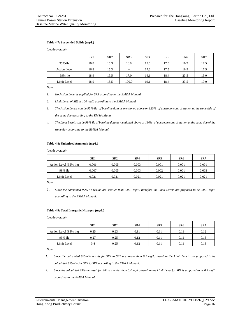#### **Table 4.7: Suspended Solids (mg/L)**

(depth-average)

|                     | SR <sub>1</sub> | SR <sub>2</sub> | SR <sub>3</sub> | SR <sub>4</sub> | SR <sub>5</sub> | SR <sub>6</sub> | SR7  |
|---------------------|-----------------|-----------------|-----------------|-----------------|-----------------|-----------------|------|
| 95%-ile             | 16.8            | 15.3            | 13.8            | 17.6            | 17.5            | 16.9            | 17.5 |
| <b>Action Level</b> | 16.8            | 15.3            | $-$             | 17.6            | 17.5            | 16.9            | 17.5 |
| $99\%$ -ile         | 18.9            | 15.5            | 17.0            | 19.1            | 18.4            | 23.5            | 19.0 |
| Limit Level         | 18.9            | 15.5            | 100.0           | 19.1            | 18.4            | 23.5            | 19.0 |

*Note:* 

- *1. No Action Level is applied for SR3 according to the EM&A Manual*
- *2. Limit Level of SR3 is 100 mg/L according to the EM&A Manual*
- *3. The Action Levels can be 95%-ile of baseline data as mentioned above or 120% of upstream control station at the same tide of the same day according to the EM&A Manu*
- *4. The Limit Levels can be 99%-ile of baseline data as mentioned above or 130% of upstream control station at the same tide of the same day according to the EM&A Manual*

#### **Table 4.8: Unionized Ammonia (mg/L)**

(depth-average)

|                        | SR <sub>1</sub> | SR <sub>2</sub> | SR <sub>4</sub> | SR <sub>5</sub> | SR <sub>6</sub> | SR7   |
|------------------------|-----------------|-----------------|-----------------|-----------------|-----------------|-------|
| Action Level (95%-ile) | 0.006           | 0.005           | 0.003           | 0.001           | 0.001           | 0.001 |
| 99%-ile                | 0.007           | 0.005           | 0.003           | 0.002           | 0.001           | 0.003 |
| Limit Level            | 0.021           | 0.021           | 0.021           | 0.021           | 0.021           | 0.021 |

*Note:* 

*1. Since the calculated 99%-ile results are smaller than 0.021 mg/L, therefore the Limit Levels are proposed to be 0.021 mg/L according to the EM&A Manual.*

#### **Table 4.9: Total Inorganic Nitrogen (mg/L)**

(depth-average)

|                        | SR <sub>1</sub> | SR <sub>2</sub> | SR <sub>4</sub> | SR <sub>5</sub> | SR <sub>6</sub> | SR7  |
|------------------------|-----------------|-----------------|-----------------|-----------------|-----------------|------|
| Action Level (95%-ile) | 0.25            | 0.23            | 0.11            | 0.11            | 0.11            | 0.12 |
| 99%-ile                | 0.27            | 0.25            | 0.12            | 0.11            | 0.11            | 0.13 |
| Limit Level            | 0.4             | 0.25            | 0.12            | 0.11            | 0.11            | 0.13 |

*Note:* 

- *1. Since the calculated 99%-ile results for SR2 to SR7 are larger than 0.1 mg/L, therefore the Limit Levels are proposed to be calculated 99%-ile for SR2 to SR7 according to the EM&A Manual.*
- *2. Since the calculated 99%-ile result for SR1 is smaller than 0.4 mg/L, therefore the Limit Level for SR1 is proposed to be 0.4 mg/L according to the EM&A Manual.*